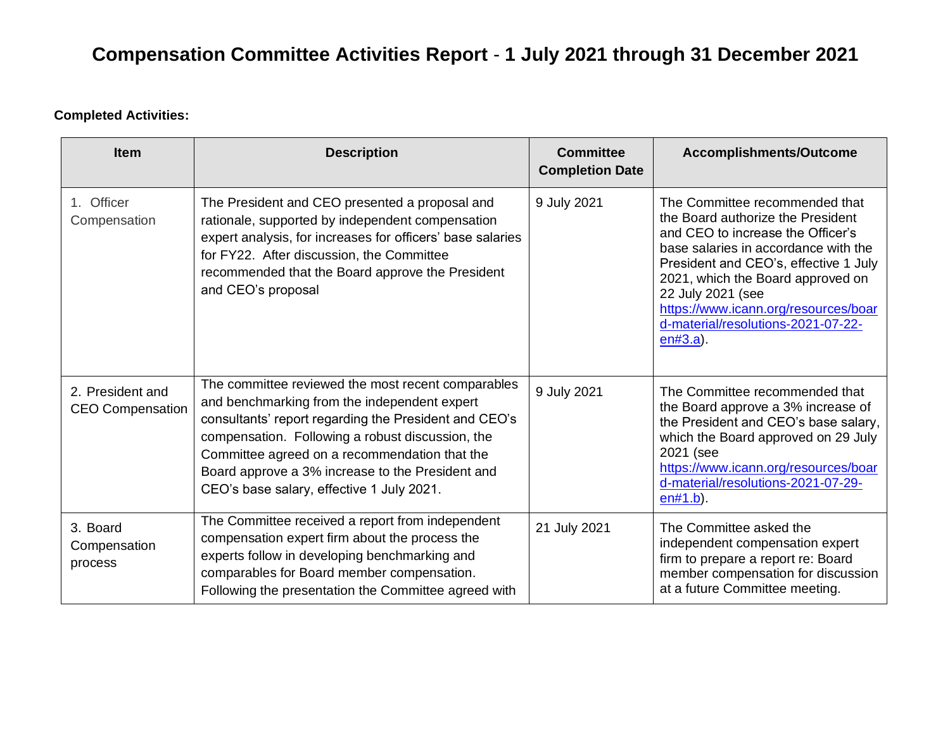### **Completed Activities:**

| <b>Item</b>                                 | <b>Description</b>                                                                                                                                                                                                                                                                                                                                                | <b>Committee</b><br><b>Completion Date</b> | Accomplishments/Outcome                                                                                                                                                                                                                                                                                                                          |
|---------------------------------------------|-------------------------------------------------------------------------------------------------------------------------------------------------------------------------------------------------------------------------------------------------------------------------------------------------------------------------------------------------------------------|--------------------------------------------|--------------------------------------------------------------------------------------------------------------------------------------------------------------------------------------------------------------------------------------------------------------------------------------------------------------------------------------------------|
| 1. Officer<br>Compensation                  | The President and CEO presented a proposal and<br>rationale, supported by independent compensation<br>expert analysis, for increases for officers' base salaries<br>for FY22. After discussion, the Committee<br>recommended that the Board approve the President<br>and CEO's proposal                                                                           | 9 July 2021                                | The Committee recommended that<br>the Board authorize the President<br>and CEO to increase the Officer's<br>base salaries in accordance with the<br>President and CEO's, effective 1 July<br>2021, which the Board approved on<br>22 July 2021 (see<br>https://www.icann.org/resources/boar<br>d-material/resolutions-2021-07-22-<br>$en#3.a$ ). |
| 2. President and<br><b>CEO Compensation</b> | The committee reviewed the most recent comparables<br>and benchmarking from the independent expert<br>consultants' report regarding the President and CEO's<br>compensation. Following a robust discussion, the<br>Committee agreed on a recommendation that the<br>Board approve a 3% increase to the President and<br>CEO's base salary, effective 1 July 2021. | 9 July 2021                                | The Committee recommended that<br>the Board approve a 3% increase of<br>the President and CEO's base salary,<br>which the Board approved on 29 July<br>2021 (see<br>https://www.icann.org/resources/boar<br>d-material/resolutions-2021-07-29-<br>$en#1.b$ ).                                                                                    |
| 3. Board<br>Compensation<br>process         | The Committee received a report from independent<br>compensation expert firm about the process the<br>experts follow in developing benchmarking and<br>comparables for Board member compensation.<br>Following the presentation the Committee agreed with                                                                                                         | 21 July 2021                               | The Committee asked the<br>independent compensation expert<br>firm to prepare a report re: Board<br>member compensation for discussion<br>at a future Committee meeting.                                                                                                                                                                         |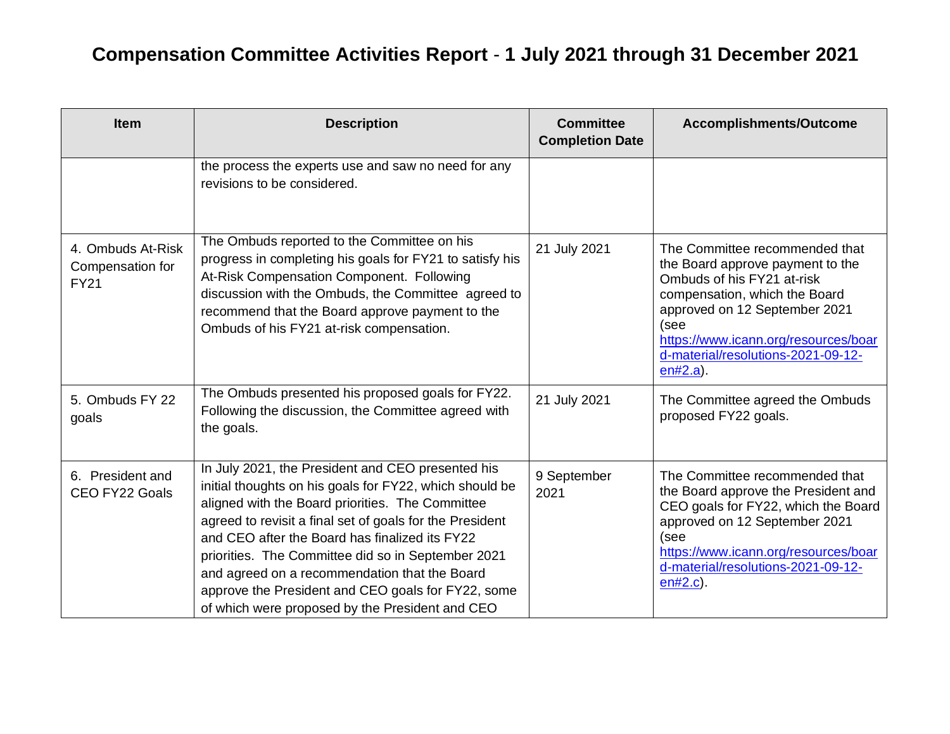| <b>Item</b>                                          | <b>Description</b>                                                                                                                                                                                                                                                                                                                                                                                                                                                                             | <b>Committee</b><br><b>Completion Date</b> | Accomplishments/Outcome                                                                                                                                                                                                                                                 |
|------------------------------------------------------|------------------------------------------------------------------------------------------------------------------------------------------------------------------------------------------------------------------------------------------------------------------------------------------------------------------------------------------------------------------------------------------------------------------------------------------------------------------------------------------------|--------------------------------------------|-------------------------------------------------------------------------------------------------------------------------------------------------------------------------------------------------------------------------------------------------------------------------|
|                                                      | the process the experts use and saw no need for any<br>revisions to be considered.                                                                                                                                                                                                                                                                                                                                                                                                             |                                            |                                                                                                                                                                                                                                                                         |
| 4. Ombuds At-Risk<br>Compensation for<br><b>FY21</b> | The Ombuds reported to the Committee on his<br>progress in completing his goals for FY21 to satisfy his<br>At-Risk Compensation Component. Following<br>discussion with the Ombuds, the Committee agreed to<br>recommend that the Board approve payment to the<br>Ombuds of his FY21 at-risk compensation.                                                                                                                                                                                     | 21 July 2021                               | The Committee recommended that<br>the Board approve payment to the<br>Ombuds of his FY21 at-risk<br>compensation, which the Board<br>approved on 12 September 2021<br>(see<br>https://www.icann.org/resources/boar<br>d-material/resolutions-2021-09-12-<br>$en#2.a$ ). |
| 5. Ombuds FY 22<br>goals                             | The Ombuds presented his proposed goals for FY22.<br>Following the discussion, the Committee agreed with<br>the goals.                                                                                                                                                                                                                                                                                                                                                                         | 21 July 2021                               | The Committee agreed the Ombuds<br>proposed FY22 goals.                                                                                                                                                                                                                 |
| 6. President and<br>CEO FY22 Goals                   | In July 2021, the President and CEO presented his<br>initial thoughts on his goals for FY22, which should be<br>aligned with the Board priorities. The Committee<br>agreed to revisit a final set of goals for the President<br>and CEO after the Board has finalized its FY22<br>priorities. The Committee did so in September 2021<br>and agreed on a recommendation that the Board<br>approve the President and CEO goals for FY22, some<br>of which were proposed by the President and CEO | 9 September<br>2021                        | The Committee recommended that<br>the Board approve the President and<br>CEO goals for FY22, which the Board<br>approved on 12 September 2021<br>(see<br>https://www.icann.org/resources/boar<br>d-material/resolutions-2021-09-12-<br>$en#2.c$ ).                      |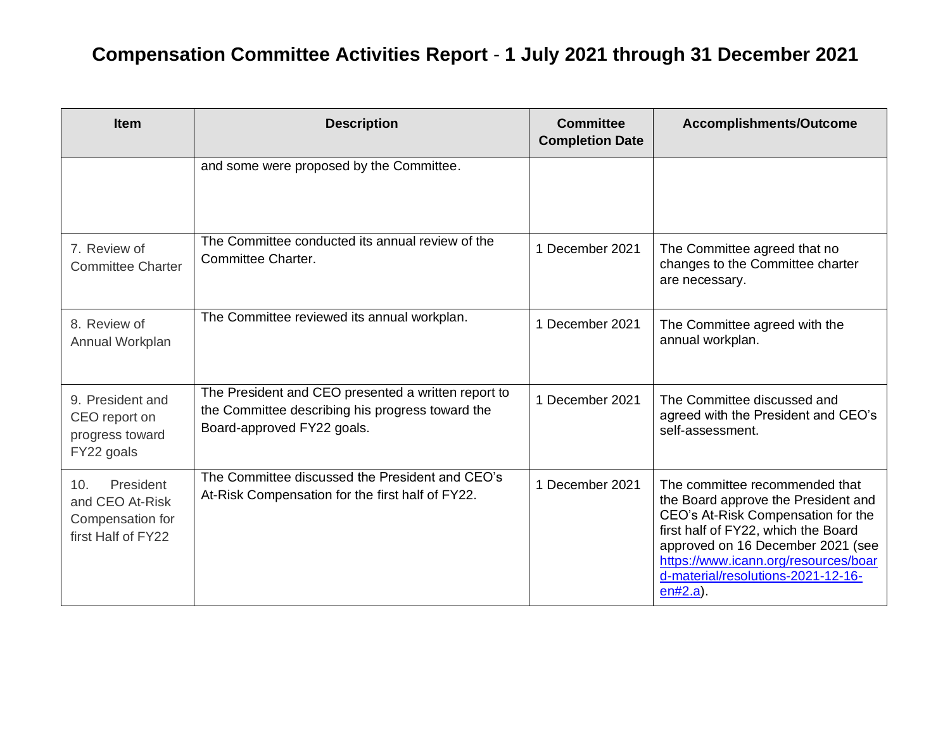| <b>Item</b>                                                                   | <b>Description</b>                                                                                                                    | <b>Committee</b><br><b>Completion Date</b> | <b>Accomplishments/Outcome</b>                                                                                                                                                                                                                                                       |
|-------------------------------------------------------------------------------|---------------------------------------------------------------------------------------------------------------------------------------|--------------------------------------------|--------------------------------------------------------------------------------------------------------------------------------------------------------------------------------------------------------------------------------------------------------------------------------------|
|                                                                               | and some were proposed by the Committee.                                                                                              |                                            |                                                                                                                                                                                                                                                                                      |
| 7. Review of<br><b>Committee Charter</b>                                      | The Committee conducted its annual review of the<br>Committee Charter.                                                                | 1 December 2021                            | The Committee agreed that no<br>changes to the Committee charter<br>are necessary.                                                                                                                                                                                                   |
| 8. Review of<br>Annual Workplan                                               | The Committee reviewed its annual workplan.                                                                                           | 1 December 2021                            | The Committee agreed with the<br>annual workplan.                                                                                                                                                                                                                                    |
| 9. President and<br>CEO report on<br>progress toward<br>FY22 goals            | The President and CEO presented a written report to<br>the Committee describing his progress toward the<br>Board-approved FY22 goals. | 1 December 2021                            | The Committee discussed and<br>agreed with the President and CEO's<br>self-assessment.                                                                                                                                                                                               |
| President<br>10.<br>and CEO At-Risk<br>Compensation for<br>first Half of FY22 | The Committee discussed the President and CEO's<br>At-Risk Compensation for the first half of FY22.                                   | 1 December 2021                            | The committee recommended that<br>the Board approve the President and<br>CEO's At-Risk Compensation for the<br>first half of FY22, which the Board<br>approved on 16 December 2021 (see<br>https://www.icann.org/resources/boar<br>d-material/resolutions-2021-12-16-<br>$en#2.a$ ). |